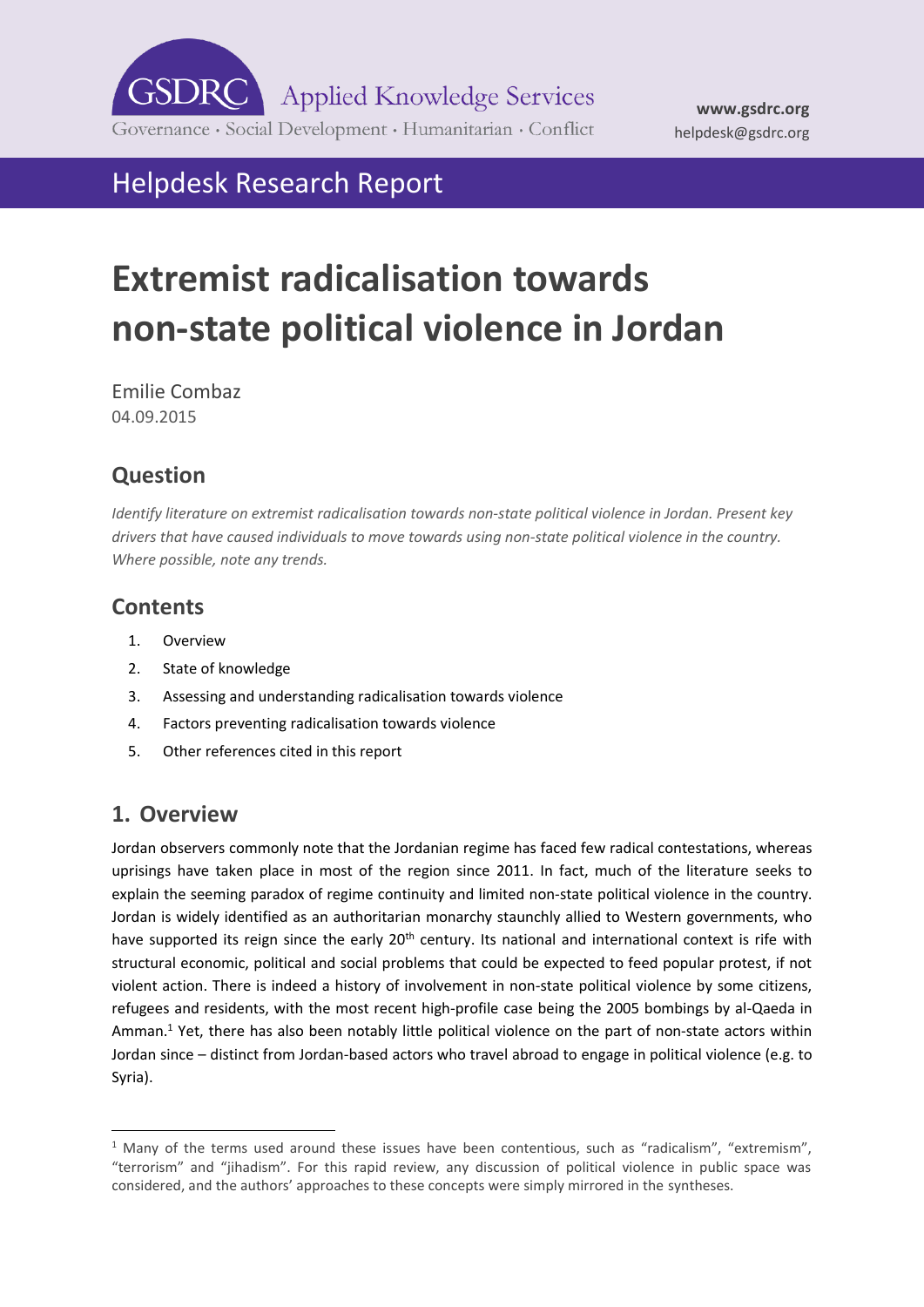

# Helpdesk Research Report

# **Extremist radicalisation towards non-state political violence in Jordan**

Emilie Combaz 04.09.2015

# **Question**

*Identify literature on extremist radicalisation towards non-state political violence in Jordan. Present key drivers that have caused individuals to move towards using non-state political violence in the country. Where possible, note any trends.*

# **Contents**

- 1. [Overview](#page-0-0)
- 2. [State of knowledge](#page-3-0)
- 3. [Assessing and understanding radicalisation towards violence](#page-3-1)
- 4. [Factors preventing radicalisation towards violence](#page-11-0)
- 5. [Other references cited in this report](#page-14-0)

# <span id="page-0-0"></span>**1. Overview**

-

Jordan observers commonly note that the Jordanian regime has faced few radical contestations, whereas uprisings have taken place in most of the region since 2011. In fact, much of the literature seeks to explain the seeming paradox of regime continuity and limited non-state political violence in the country. Jordan is widely identified as an authoritarian monarchy staunchly allied to Western governments, who have supported its reign since the early 20<sup>th</sup> century. Its national and international context is rife with structural economic, political and social problems that could be expected to feed popular protest, if not violent action. There is indeed a history of involvement in non-state political violence by some citizens, refugees and residents, with the most recent high-profile case being the 2005 bombings by al-Qaeda in Amman. <sup>1</sup> Yet, there has also been notably little political violence on the part of non-state actors within Jordan since – distinct from Jordan-based actors who travel abroad to engage in political violence (e.g. to Syria).

 $1$  Many of the terms used around these issues have been contentious, such as "radicalism", "extremism", "terrorism" and "jihadism". For this rapid review, any discussion of political violence in public space was considered, and the authors' approaches to these concepts were simply mirrored in the syntheses.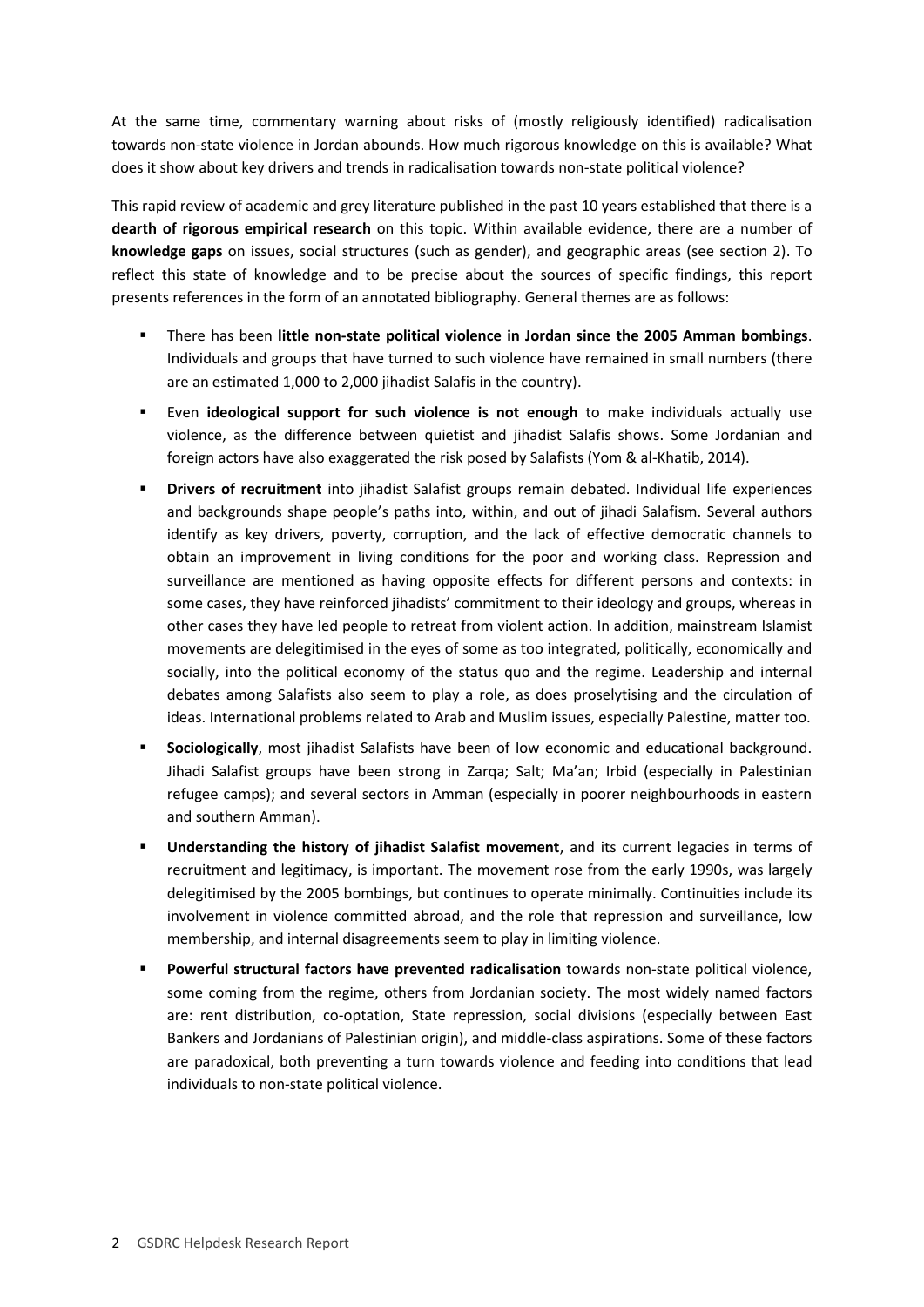At the same time, commentary warning about risks of (mostly religiously identified) radicalisation towards non-state violence in Jordan abounds. How much rigorous knowledge on this is available? What does it show about key drivers and trends in radicalisation towards non-state political violence?

This rapid review of academic and grey literature published in the past 10 years established that there is a **dearth of rigorous empirical research** on this topic. Within available evidence, there are a number of **knowledge gaps** on issues, social structures (such as gender), and geographic areas (see section 2). To reflect this state of knowledge and to be precise about the sources of specific findings, this report presents references in the form of an annotated bibliography. General themes are as follows:

- There has been **little non-state political violence in Jordan since the 2005 Amman bombings**. Individuals and groups that have turned to such violence have remained in small numbers (there are an estimated 1,000 to 2,000 jihadist Salafis in the country).
- Even **ideological support for such violence is not enough** to make individuals actually use violence, as the difference between quietist and jihadist Salafis shows. Some Jordanian and foreign actors have also exaggerated the risk posed by Salafists (Yom & al-Khatib, 2014).
- **Drivers of recruitment** into jihadist Salafist groups remain debated. Individual life experiences and backgrounds shape people's paths into, within, and out of jihadi Salafism. Several authors identify as key drivers, poverty, corruption, and the lack of effective democratic channels to obtain an improvement in living conditions for the poor and working class. Repression and surveillance are mentioned as having opposite effects for different persons and contexts: in some cases, they have reinforced jihadists' commitment to their ideology and groups, whereas in other cases they have led people to retreat from violent action. In addition, mainstream Islamist movements are delegitimised in the eyes of some as too integrated, politically, economically and socially, into the political economy of the status quo and the regime. Leadership and internal debates among Salafists also seem to play a role, as does proselytising and the circulation of ideas. International problems related to Arab and Muslim issues, especially Palestine, matter too.
- **Sociologically**, most jihadist Salafists have been of low economic and educational background. Jihadi Salafist groups have been strong in Zarqa; Salt; Ma'an; Irbid (especially in Palestinian refugee camps); and several sectors in Amman (especially in poorer neighbourhoods in eastern and southern Amman).
- **Understanding the history of jihadist Salafist movement**, and its current legacies in terms of recruitment and legitimacy, is important. The movement rose from the early 1990s, was largely delegitimised by the 2005 bombings, but continues to operate minimally. Continuities include its involvement in violence committed abroad, and the role that repression and surveillance, low membership, and internal disagreements seem to play in limiting violence.
- **Powerful structural factors have prevented radicalisation** towards non-state political violence, some coming from the regime, others from Jordanian society. The most widely named factors are: rent distribution, co-optation, State repression, social divisions (especially between East Bankers and Jordanians of Palestinian origin), and middle-class aspirations. Some of these factors are paradoxical, both preventing a turn towards violence and feeding into conditions that lead individuals to non-state political violence.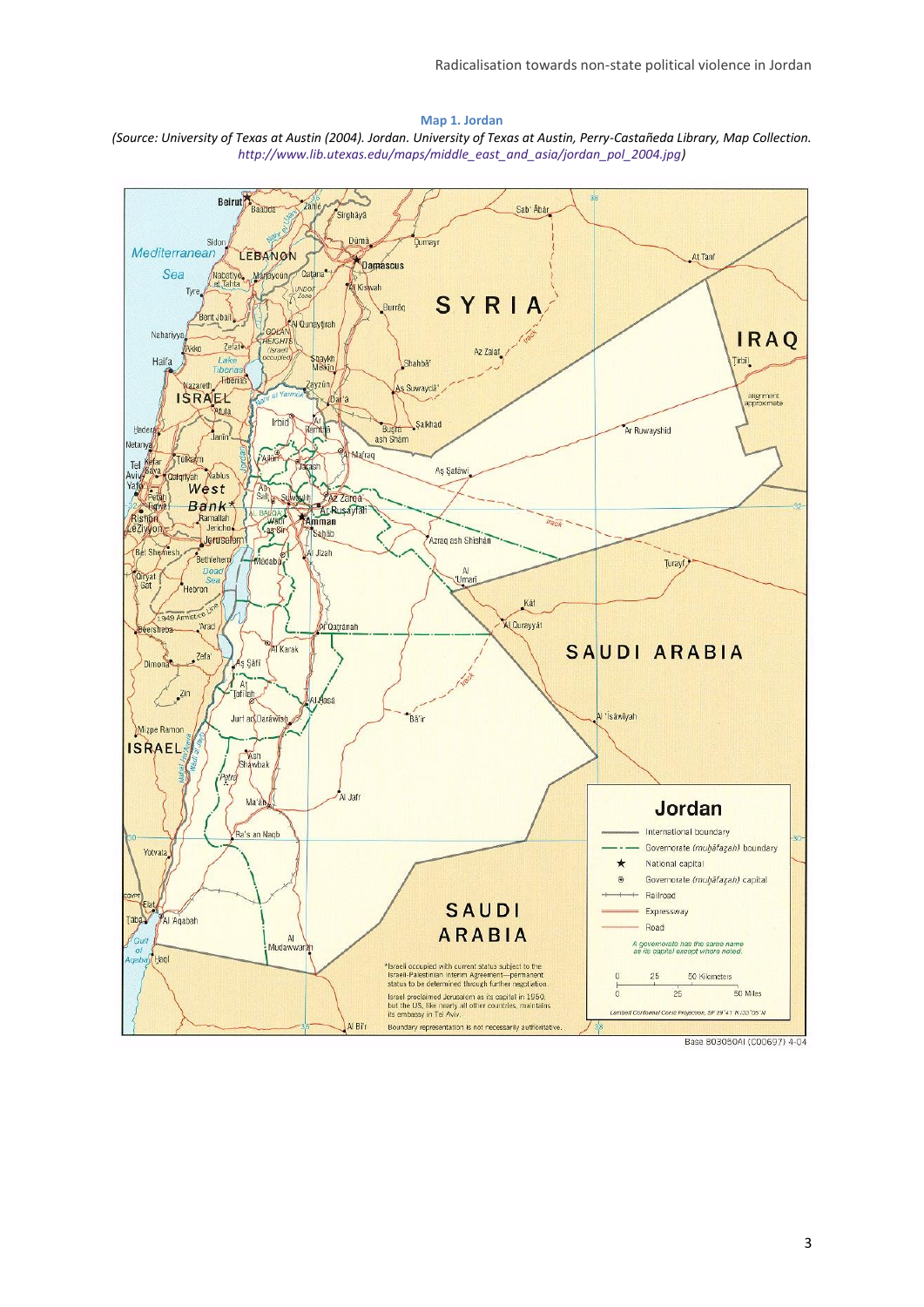**Map 1. Jordan** *(Source: University of Texas at Austin (2004). Jordan. University of Texas at Austin, Perry-Castañeda Library, Map Collection. [http://www.lib.utexas.edu/maps/middle\\_east\\_and\\_asia/jordan\\_pol\\_2004.jpg\)](http://www.lib.utexas.edu/maps/middle_east_and_asia/jordan_pol_2004.jpg)*

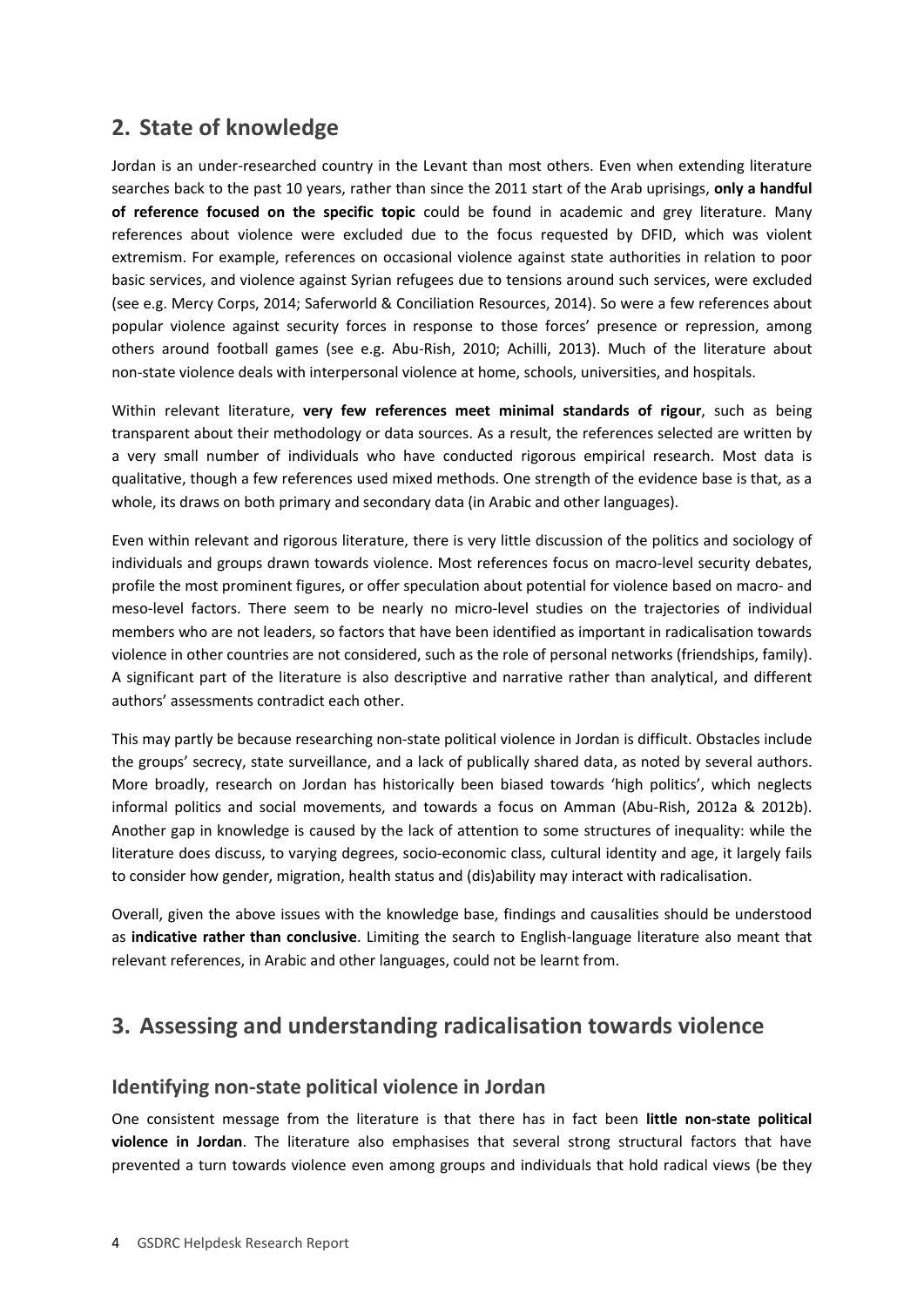# <span id="page-3-0"></span>**2. State of knowledge**

Jordan is an under-researched country in the Levant than most others. Even when extending literature searches back to the past 10 years, rather than since the 2011 start of the Arab uprisings, **only a handful of reference focused on the specific topic** could be found in academic and grey literature. Many references about violence were excluded due to the focus requested by DFID, which was violent extremism. For example, references on occasional violence against state authorities in relation to poor basic services, and violence against Syrian refugees due to tensions around such services, were excluded (see e.g. Mercy Corps, 2014; Saferworld & Conciliation Resources, 2014). So were a few references about popular violence against security forces in response to those forces' presence or repression, among others around football games (see e.g. Abu-Rish, 2010; Achilli, 2013). Much of the literature about non-state violence deals with interpersonal violence at home, schools, universities, and hospitals.

Within relevant literature, **very few references meet minimal standards of rigour**, such as being transparent about their methodology or data sources. As a result, the references selected are written by a very small number of individuals who have conducted rigorous empirical research. Most data is qualitative, though a few references used mixed methods. One strength of the evidence base is that, as a whole, its draws on both primary and secondary data (in Arabic and other languages).

Even within relevant and rigorous literature, there is very little discussion of the politics and sociology of individuals and groups drawn towards violence. Most references focus on macro-level security debates, profile the most prominent figures, or offer speculation about potential for violence based on macro- and meso-level factors. There seem to be nearly no micro-level studies on the trajectories of individual members who are not leaders, so factors that have been identified as important in radicalisation towards violence in other countries are not considered, such as the role of personal networks (friendships, family). A significant part of the literature is also descriptive and narrative rather than analytical, and different authors' assessments contradict each other.

This may partly be because researching non-state political violence in Jordan is difficult. Obstacles include the groups' secrecy, state surveillance, and a lack of publically shared data, as noted by several authors. More broadly, research on Jordan has historically been biased towards 'high politics', which neglects informal politics and social movements, and towards a focus on Amman (Abu-Rish, 2012a & 2012b). Another gap in knowledge is caused by the lack of attention to some structures of inequality: while the literature does discuss, to varying degrees, socio-economic class, cultural identity and age, it largely fails to consider how gender, migration, health status and (dis)ability may interact with radicalisation.

Overall, given the above issues with the knowledge base, findings and causalities should be understood as **indicative rather than conclusive**. Limiting the search to English-language literature also meant that relevant references, in Arabic and other languages, could not be learnt from.

# <span id="page-3-1"></span>**3. Assessing and understanding radicalisation towards violence**

## **Identifying non-state political violence in Jordan**

One consistent message from the literature is that there has in fact been **little non-state political violence in Jordan**. The literature also emphasises that several strong structural factors that have prevented a turn towards violence even among groups and individuals that hold radical views (be they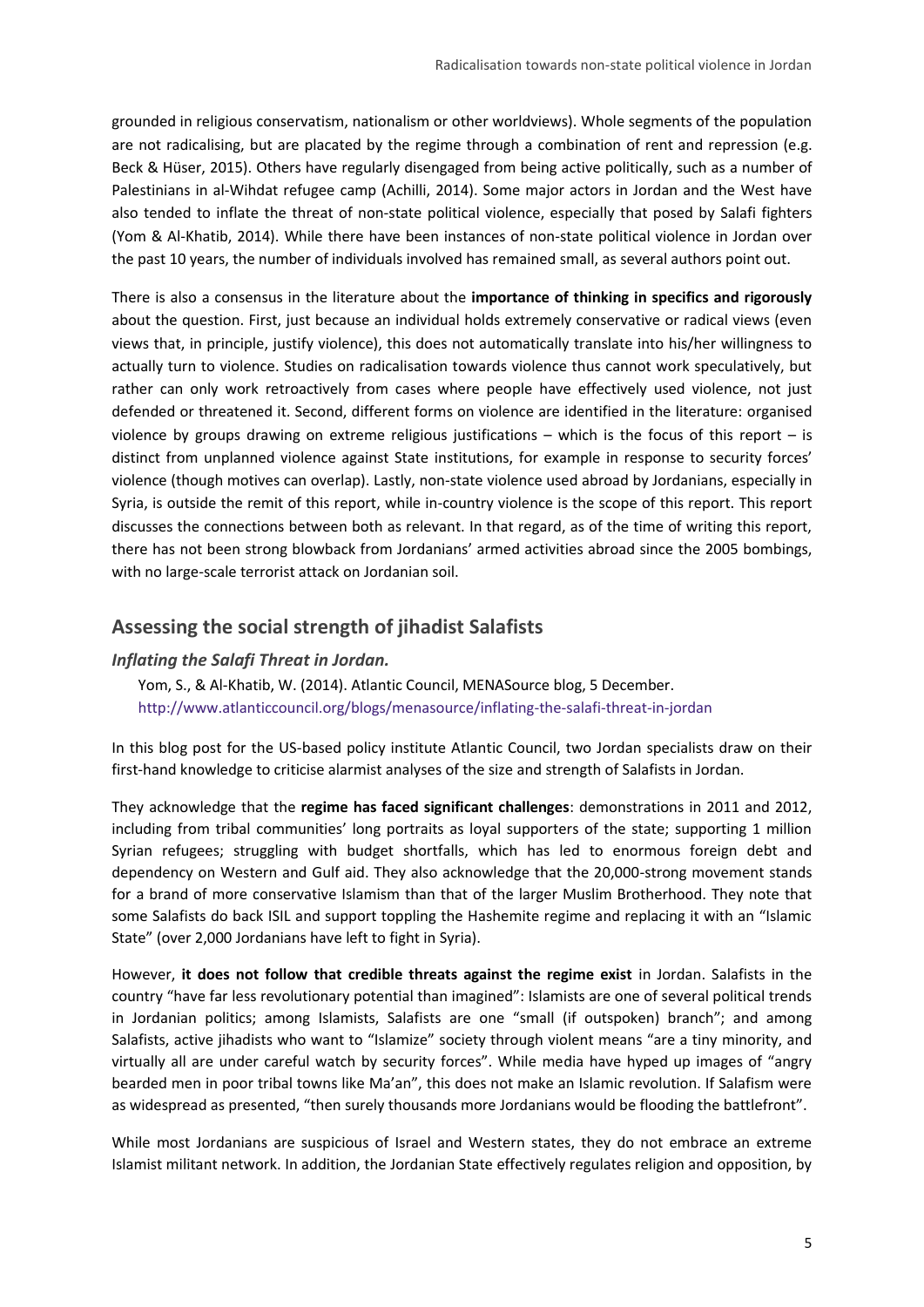grounded in religious conservatism, nationalism or other worldviews). Whole segments of the population are not radicalising, but are placated by the regime through a combination of rent and repression (e.g. Beck & Hüser, 2015). Others have regularly disengaged from being active politically, such as a number of Palestinians in al-Wihdat refugee camp (Achilli, 2014). Some major actors in Jordan and the West have also tended to inflate the threat of non-state political violence, especially that posed by Salafi fighters (Yom & Al-Khatib, 2014). While there have been instances of non-state political violence in Jordan over the past 10 years, the number of individuals involved has remained small, as several authors point out.

There is also a consensus in the literature about the **importance of thinking in specifics and rigorously** about the question. First, just because an individual holds extremely conservative or radical views (even views that, in principle, justify violence), this does not automatically translate into his/her willingness to actually turn to violence. Studies on radicalisation towards violence thus cannot work speculatively, but rather can only work retroactively from cases where people have effectively used violence, not just defended or threatened it. Second, different forms on violence are identified in the literature: organised violence by groups drawing on extreme religious justifications – which is the focus of this report – is distinct from unplanned violence against State institutions, for example in response to security forces' violence (though motives can overlap). Lastly, non-state violence used abroad by Jordanians, especially in Syria, is outside the remit of this report, while in-country violence is the scope of this report. This report discusses the connections between both as relevant. In that regard, as of the time of writing this report, there has not been strong blowback from Jordanians' armed activities abroad since the 2005 bombings, with no large-scale terrorist attack on Jordanian soil.

#### **Assessing the social strength of jihadist Salafists**

#### *Inflating the Salafi Threat in Jordan.*

Yom, S., & Al-Khatib, W. (2014). Atlantic Council, MENASource blog, 5 December. <http://www.atlanticcouncil.org/blogs/menasource/inflating-the-salafi-threat-in-jordan>

In this blog post for the US-based policy institute Atlantic Council, two Jordan specialists draw on their first-hand knowledge to criticise alarmist analyses of the size and strength of Salafists in Jordan.

They acknowledge that the **regime has faced significant challenges**: demonstrations in 2011 and 2012, including from tribal communities' long portraits as loyal supporters of the state; supporting 1 million Syrian refugees; struggling with budget shortfalls, which has led to enormous foreign debt and dependency on Western and Gulf aid. They also acknowledge that the 20,000-strong movement stands for a brand of more conservative Islamism than that of the larger Muslim Brotherhood. They note that some Salafists do back ISIL and support toppling the Hashemite regime and replacing it with an "Islamic State" (over 2,000 Jordanians have left to fight in Syria).

However, **it does not follow that credible threats against the regime exist** in Jordan. Salafists in the country "have far less revolutionary potential than imagined": Islamists are one of several political trends in Jordanian politics; among Islamists, Salafists are one "small (if outspoken) branch"; and among Salafists, active jihadists who want to "Islamize" society through violent means "are a tiny minority, and virtually all are under careful watch by security forces". While media have hyped up images of "angry bearded men in poor tribal towns like Ma'an", this does not make an Islamic revolution. If Salafism were as widespread as presented, "then surely thousands more Jordanians would be flooding the battlefront".

While most Jordanians are suspicious of Israel and Western states, they do not embrace an extreme Islamist militant network. In addition, the Jordanian State effectively regulates religion and opposition, by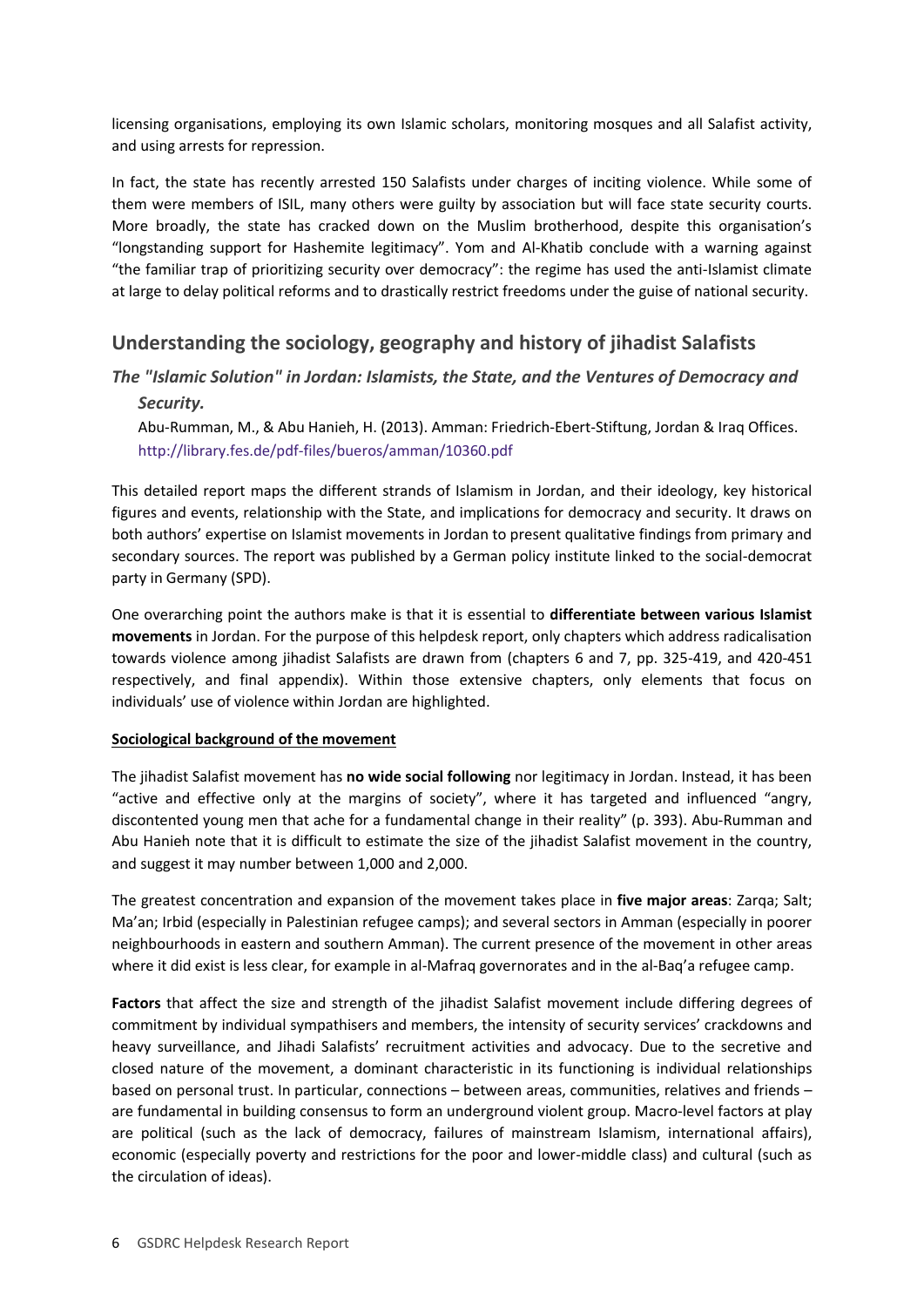licensing organisations, employing its own Islamic scholars, monitoring mosques and all Salafist activity, and using arrests for repression.

In fact, the state has recently arrested 150 Salafists under charges of inciting violence. While some of them were members of ISIL, many others were guilty by association but will face state security courts. More broadly, the state has cracked down on the Muslim brotherhood, despite this organisation's "longstanding support for Hashemite legitimacy". Yom and Al-Khatib conclude with a warning against "the familiar trap of prioritizing security over democracy": the regime has used the anti-Islamist climate at large to delay political reforms and to drastically restrict freedoms under the guise of national security.

# **Understanding the sociology, geography and history of jihadist Salafists**

### *The "Islamic Solution" in Jordan: Islamists, the State, and the Ventures of Democracy and Security.*

Abu-Rumman, M., & Abu Hanieh, H. (2013). Amman: Friedrich-Ebert-Stiftung, Jordan & Iraq Offices. <http://library.fes.de/pdf-files/bueros/amman/10360.pdf>

This detailed report maps the different strands of Islamism in Jordan, and their ideology, key historical figures and events, relationship with the State, and implications for democracy and security. It draws on both authors' expertise on Islamist movements in Jordan to present qualitative findings from primary and secondary sources. The report was published by a German policy institute linked to the social-democrat party in Germany (SPD).

One overarching point the authors make is that it is essential to **differentiate between various Islamist movements** in Jordan. For the purpose of this helpdesk report, only chapters which address radicalisation towards violence among jihadist Salafists are drawn from (chapters 6 and 7, pp. 325-419, and 420-451 respectively, and final appendix). Within those extensive chapters, only elements that focus on individuals' use of violence within Jordan are highlighted.

#### **Sociological background of the movement**

The jihadist Salafist movement has **no wide social following** nor legitimacy in Jordan. Instead, it has been "active and effective only at the margins of society", where it has targeted and influenced "angry, discontented young men that ache for a fundamental change in their reality" (p. 393). Abu-Rumman and Abu Hanieh note that it is difficult to estimate the size of the jihadist Salafist movement in the country, and suggest it may number between 1,000 and 2,000.

The greatest concentration and expansion of the movement takes place in **five major areas**: Zarqa; Salt; Ma'an; Irbid (especially in Palestinian refugee camps); and several sectors in Amman (especially in poorer neighbourhoods in eastern and southern Amman). The current presence of the movement in other areas where it did exist is less clear, for example in al-Mafraq governorates and in the al-Baq'a refugee camp.

**Factors** that affect the size and strength of the jihadist Salafist movement include differing degrees of commitment by individual sympathisers and members, the intensity of security services' crackdowns and heavy surveillance, and Jihadi Salafists' recruitment activities and advocacy. Due to the secretive and closed nature of the movement, a dominant characteristic in its functioning is individual relationships based on personal trust. In particular, connections – between areas, communities, relatives and friends – are fundamental in building consensus to form an underground violent group. Macro-level factors at play are political (such as the lack of democracy, failures of mainstream Islamism, international affairs), economic (especially poverty and restrictions for the poor and lower-middle class) and cultural (such as the circulation of ideas).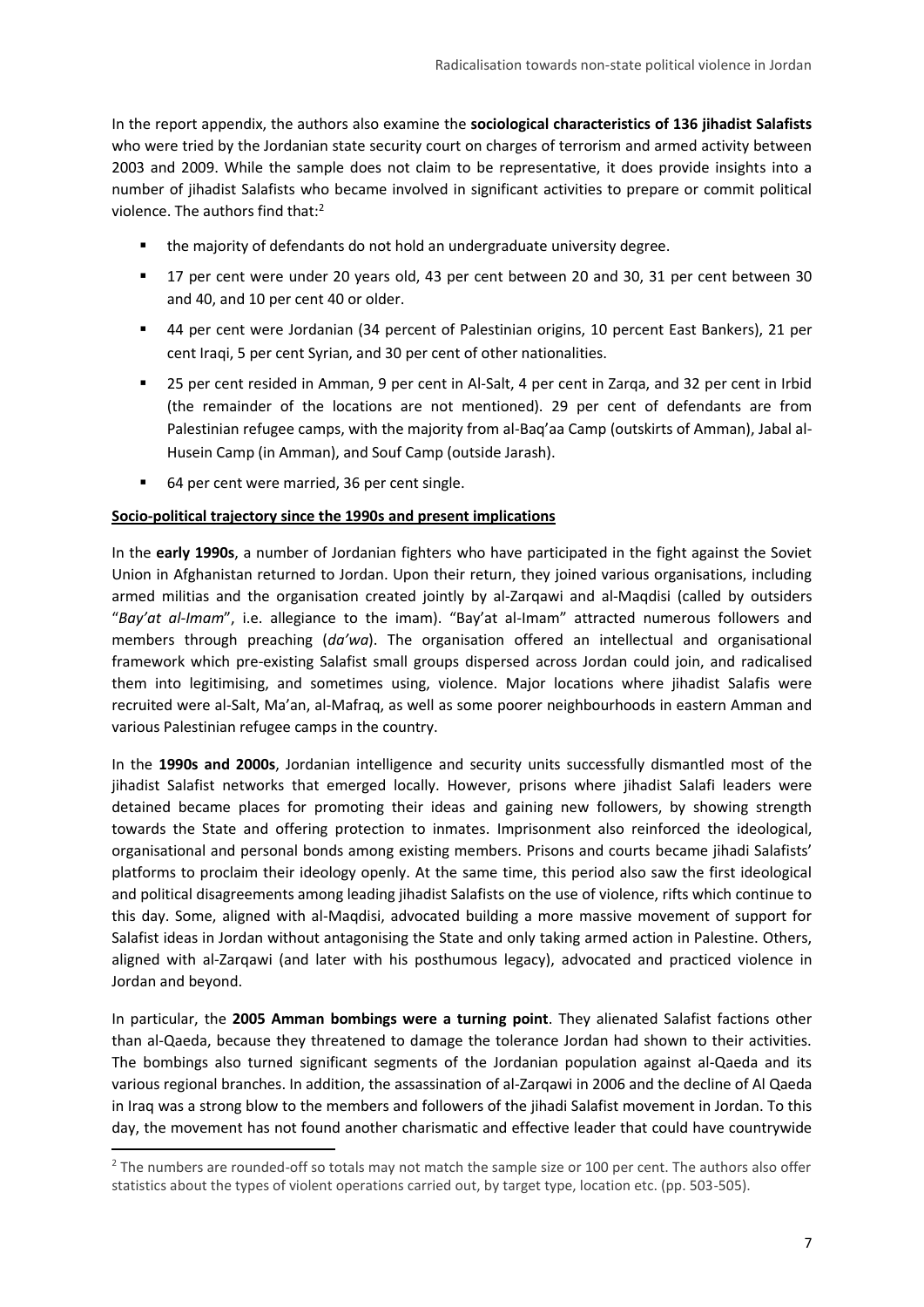In the report appendix, the authors also examine the **sociological characteristics of 136 jihadist Salafists** who were tried by the Jordanian state security court on charges of terrorism and armed activity between 2003 and 2009. While the sample does not claim to be representative, it does provide insights into a number of jihadist Salafists who became involved in significant activities to prepare or commit political violence. The authors find that:<sup>2</sup>

- the majority of defendants do not hold an undergraduate university degree.
- 17 per cent were under 20 years old, 43 per cent between 20 and 30, 31 per cent between 30 and 40, and 10 per cent 40 or older.
- 44 per cent were Jordanian (34 percent of Palestinian origins, 10 percent East Bankers), 21 per cent Iraqi, 5 per cent Syrian, and 30 per cent of other nationalities.
- 25 per cent resided in Amman, 9 per cent in Al-Salt, 4 per cent in Zarqa, and 32 per cent in Irbid (the remainder of the locations are not mentioned). 29 per cent of defendants are from Palestinian refugee camps, with the majority from al-Baq'aa Camp (outskirts of Amman), Jabal al-Husein Camp (in Amman), and Souf Camp (outside Jarash).
- 64 per cent were married, 36 per cent single.

-

#### **Socio-political trajectory since the 1990s and present implications**

In the **early 1990s**, a number of Jordanian fighters who have participated in the fight against the Soviet Union in Afghanistan returned to Jordan. Upon their return, they joined various organisations, including armed militias and the organisation created jointly by al-Zarqawi and al-Maqdisi (called by outsiders "*Bay'at al-Imam*", i.e. allegiance to the imam). "Bay'at al-Imam" attracted numerous followers and members through preaching (*da'wa*). The organisation offered an intellectual and organisational framework which pre-existing Salafist small groups dispersed across Jordan could join, and radicalised them into legitimising, and sometimes using, violence. Major locations where jihadist Salafis were recruited were al-Salt, Ma'an, al-Mafraq, as well as some poorer neighbourhoods in eastern Amman and various Palestinian refugee camps in the country.

In the **1990s and 2000s**, Jordanian intelligence and security units successfully dismantled most of the jihadist Salafist networks that emerged locally. However, prisons where jihadist Salafi leaders were detained became places for promoting their ideas and gaining new followers, by showing strength towards the State and offering protection to inmates. Imprisonment also reinforced the ideological, organisational and personal bonds among existing members. Prisons and courts became jihadi Salafists' platforms to proclaim their ideology openly. At the same time, this period also saw the first ideological and political disagreements among leading jihadist Salafists on the use of violence, rifts which continue to this day. Some, aligned with al-Maqdisi, advocated building a more massive movement of support for Salafist ideas in Jordan without antagonising the State and only taking armed action in Palestine. Others, aligned with al-Zarqawi (and later with his posthumous legacy), advocated and practiced violence in Jordan and beyond.

In particular, the **2005 Amman bombings were a turning point**. They alienated Salafist factions other than al-Qaeda, because they threatened to damage the tolerance Jordan had shown to their activities. The bombings also turned significant segments of the Jordanian population against al-Qaeda and its various regional branches. In addition, the assassination of al-Zarqawi in 2006 and the decline of Al Qaeda in Iraq was a strong blow to the members and followers of the jihadi Salafist movement in Jordan. To this day, the movement has not found another charismatic and effective leader that could have countrywide

<sup>&</sup>lt;sup>2</sup> The numbers are rounded-off so totals may not match the sample size or 100 per cent. The authors also offer statistics about the types of violent operations carried out, by target type, location etc. (pp. 503-505).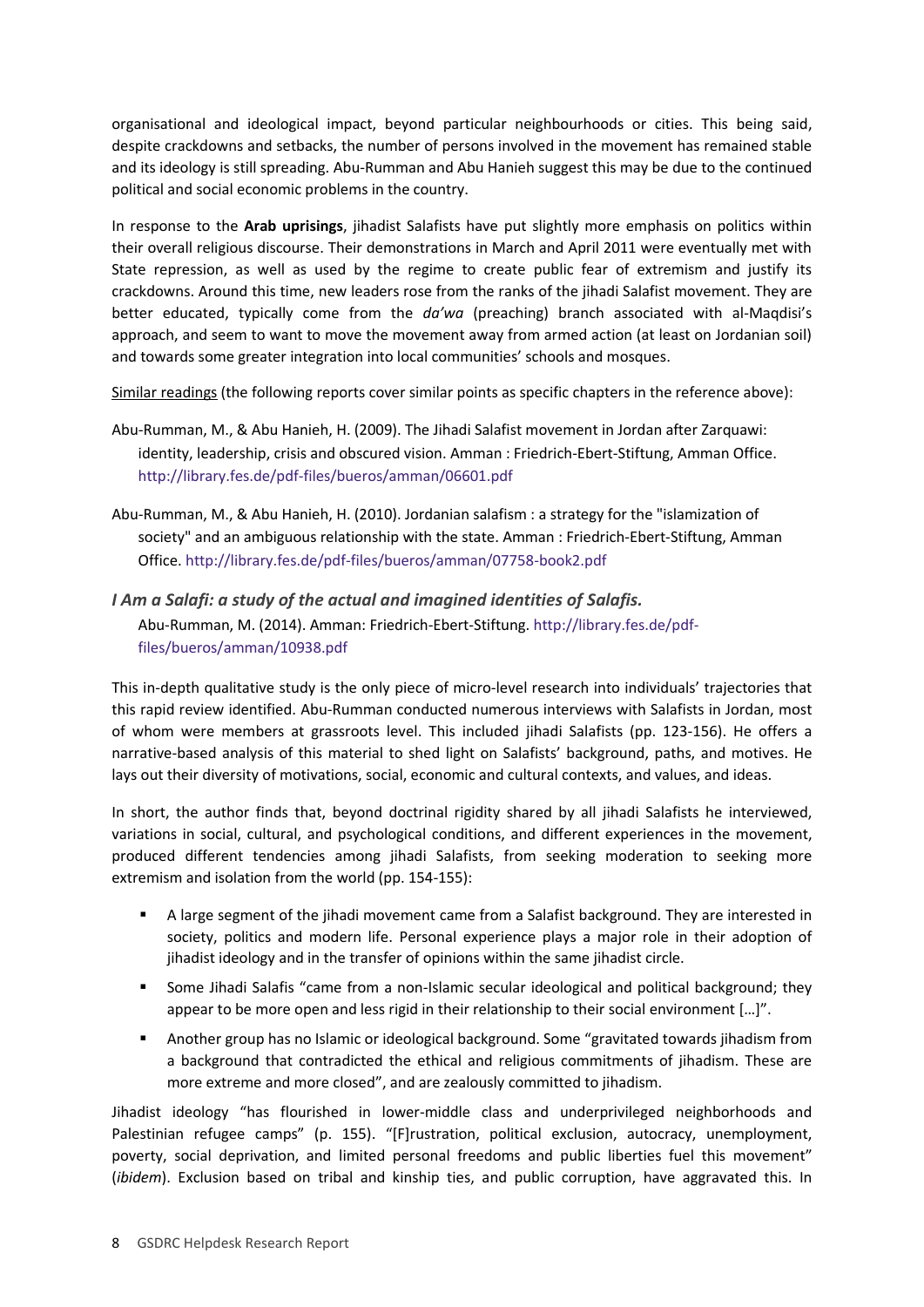organisational and ideological impact, beyond particular neighbourhoods or cities. This being said, despite crackdowns and setbacks, the number of persons involved in the movement has remained stable and its ideology is still spreading. Abu-Rumman and Abu Hanieh suggest this may be due to the continued political and social economic problems in the country.

In response to the **Arab uprisings**, jihadist Salafists have put slightly more emphasis on politics within their overall religious discourse. Their demonstrations in March and April 2011 were eventually met with State repression, as well as used by the regime to create public fear of extremism and justify its crackdowns. Around this time, new leaders rose from the ranks of the jihadi Salafist movement. They are better educated, typically come from the *da'wa* (preaching) branch associated with al-Maqdisi's approach, and seem to want to move the movement away from armed action (at least on Jordanian soil) and towards some greater integration into local communities' schools and mosques.

Similar readings (the following reports cover similar points as specific chapters in the reference above):

- Abu-Rumman, M., & Abu Hanieh, H. (2009). The Jihadi Salafist movement in Jordan after Zarquawi: identity, leadership, crisis and obscured vision. Amman : Friedrich-Ebert-Stiftung, Amman Office. <http://library.fes.de/pdf-files/bueros/amman/06601.pdf>
- Abu-Rumman, M., & Abu Hanieh, H. (2010). Jordanian salafism : a strategy for the "islamization of society" and an ambiguous relationship with the state. Amman : Friedrich-Ebert-Stiftung, Amman Office[. http://library.fes.de/pdf-files/bueros/amman/07758-book2.pdf](http://library.fes.de/pdf-files/bueros/amman/07758-book2.pdf)

## *I Am a Salafi: a study of the actual and imagined identities of Salafis.*  Abu-Rumman, M. (2014). Amman: Friedrich-Ebert-Stiftung[. http://library.fes.de/pdf](http://library.fes.de/pdf-files/bueros/amman/10938.pdf)[files/bueros/amman/10938.pdf](http://library.fes.de/pdf-files/bueros/amman/10938.pdf)

This in-depth qualitative study is the only piece of micro-level research into individuals' trajectories that this rapid review identified. Abu-Rumman conducted numerous interviews with Salafists in Jordan, most of whom were members at grassroots level. This included jihadi Salafists (pp. 123-156). He offers a narrative-based analysis of this material to shed light on Salafists' background, paths, and motives. He lays out their diversity of motivations, social, economic and cultural contexts, and values, and ideas.

In short, the author finds that, beyond doctrinal rigidity shared by all jihadi Salafists he interviewed, variations in social, cultural, and psychological conditions, and different experiences in the movement, produced different tendencies among jihadi Salafists, from seeking moderation to seeking more extremism and isolation from the world (pp. 154-155):

- A large segment of the jihadi movement came from a Salafist background. They are interested in society, politics and modern life. Personal experience plays a major role in their adoption of jihadist ideology and in the transfer of opinions within the same jihadist circle.
- Some Jihadi Salafis "came from a non-Islamic secular ideological and political background; they appear to be more open and less rigid in their relationship to their social environment […]".
- Another group has no Islamic or ideological background. Some "gravitated towards jihadism from a background that contradicted the ethical and religious commitments of jihadism. These are more extreme and more closed", and are zealously committed to jihadism.

Jihadist ideology "has flourished in lower-middle class and underprivileged neighborhoods and Palestinian refugee camps" (p. 155). "[F]rustration, political exclusion, autocracy, unemployment, poverty, social deprivation, and limited personal freedoms and public liberties fuel this movement" (*ibidem*). Exclusion based on tribal and kinship ties, and public corruption, have aggravated this. In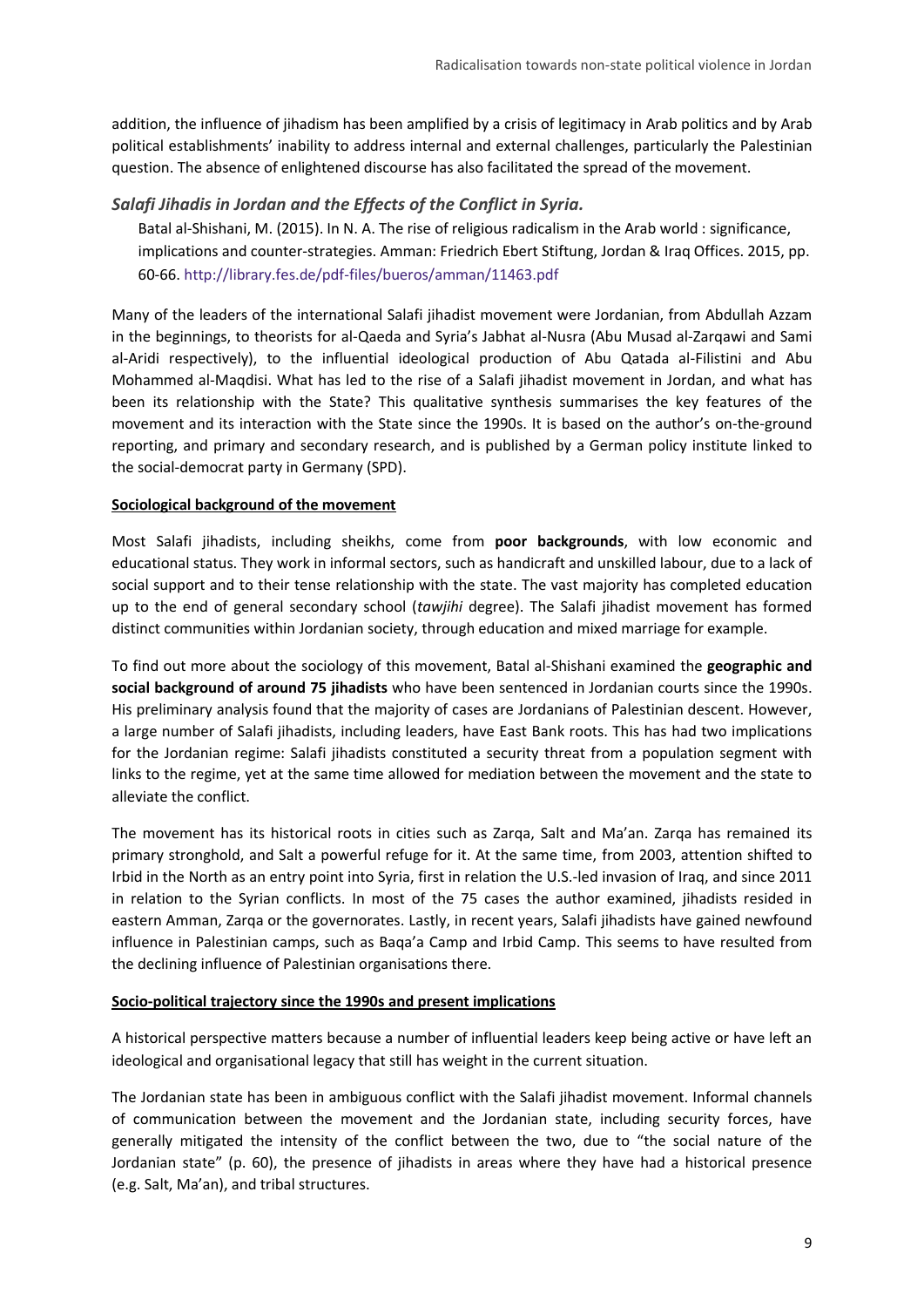addition, the influence of jihadism has been amplified by a crisis of legitimacy in Arab politics and by Arab political establishments' inability to address internal and external challenges, particularly the Palestinian question. The absence of enlightened discourse has also facilitated the spread of the movement.

#### *Salafi Jihadis in Jordan and the Effects of the Conflict in Syria.*

Batal al-Shishani, M. (2015). In N. A. The rise of religious radicalism in the Arab world : significance, implications and counter-strategies. Amman: Friedrich Ebert Stiftung, Jordan & Iraq Offices. 2015, pp. 60-66[. http://library.fes.de/pdf-files/bueros/amman/11463.pdf](http://library.fes.de/pdf-files/bueros/amman/11463.pdf)

Many of the leaders of the international Salafi jihadist movement were Jordanian, from Abdullah Azzam in the beginnings, to theorists for al-Qaeda and Syria's Jabhat al-Nusra (Abu Musad al-Zarqawi and Sami al-Aridi respectively), to the influential ideological production of Abu Qatada al-Filistini and Abu Mohammed al-Maqdisi. What has led to the rise of a Salafi jihadist movement in Jordan, and what has been its relationship with the State? This qualitative synthesis summarises the key features of the movement and its interaction with the State since the 1990s. It is based on the author's on-the-ground reporting, and primary and secondary research, and is published by a German policy institute linked to the social-democrat party in Germany (SPD).

#### **Sociological background of the movement**

Most Salafi jihadists, including sheikhs, come from **poor backgrounds**, with low economic and educational status. They work in informal sectors, such as handicraft and unskilled labour, due to a lack of social support and to their tense relationship with the state. The vast majority has completed education up to the end of general secondary school (*tawjihi* degree). The Salafi jihadist movement has formed distinct communities within Jordanian society, through education and mixed marriage for example.

To find out more about the sociology of this movement, Batal al-Shishani examined the **geographic and social background of around 75 jihadists** who have been sentenced in Jordanian courts since the 1990s. His preliminary analysis found that the majority of cases are Jordanians of Palestinian descent. However, a large number of Salafi jihadists, including leaders, have East Bank roots. This has had two implications for the Jordanian regime: Salafi jihadists constituted a security threat from a population segment with links to the regime, yet at the same time allowed for mediation between the movement and the state to alleviate the conflict.

The movement has its historical roots in cities such as Zarqa, Salt and Ma'an. Zarqa has remained its primary stronghold, and Salt a powerful refuge for it. At the same time, from 2003, attention shifted to Irbid in the North as an entry point into Syria, first in relation the U.S.-led invasion of Iraq, and since 2011 in relation to the Syrian conflicts. In most of the 75 cases the author examined, jihadists resided in eastern Amman, Zarqa or the governorates. Lastly, in recent years, Salafi jihadists have gained newfound influence in Palestinian camps, such as Baqa'a Camp and Irbid Camp. This seems to have resulted from the declining influence of Palestinian organisations there.

#### **Socio-political trajectory since the 1990s and present implications**

A historical perspective matters because a number of influential leaders keep being active or have left an ideological and organisational legacy that still has weight in the current situation.

The Jordanian state has been in ambiguous conflict with the Salafi jihadist movement. Informal channels of communication between the movement and the Jordanian state, including security forces, have generally mitigated the intensity of the conflict between the two, due to "the social nature of the Jordanian state" (p. 60), the presence of jihadists in areas where they have had a historical presence (e.g. Salt, Ma'an), and tribal structures.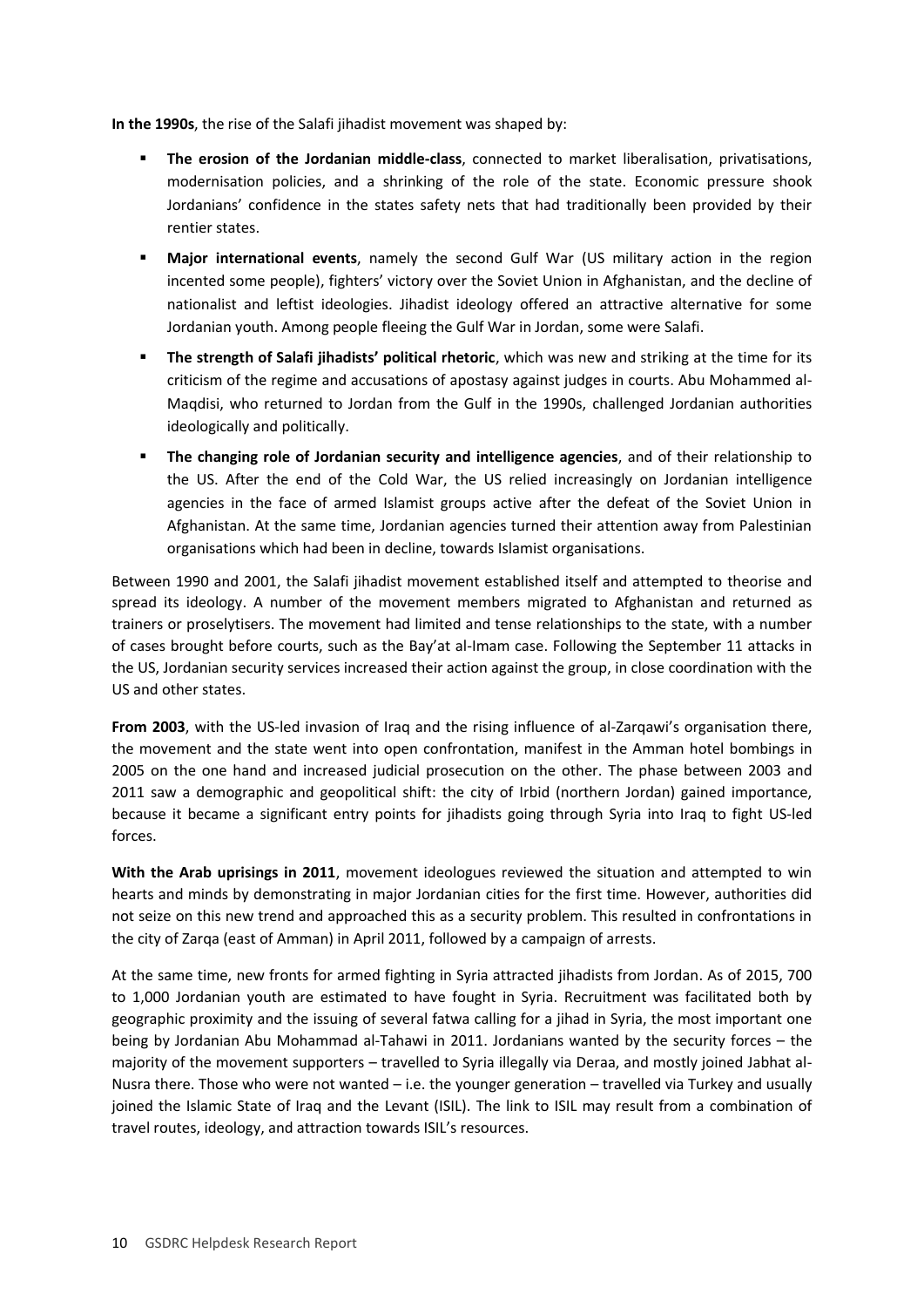**In the 1990s**, the rise of the Salafi jihadist movement was shaped by:

- **The erosion of the Jordanian middle-class**, connected to market liberalisation, privatisations, modernisation policies, and a shrinking of the role of the state. Economic pressure shook Jordanians' confidence in the states safety nets that had traditionally been provided by their rentier states.
- **Major international events**, namely the second Gulf War (US military action in the region incented some people), fighters' victory over the Soviet Union in Afghanistan, and the decline of nationalist and leftist ideologies. Jihadist ideology offered an attractive alternative for some Jordanian youth. Among people fleeing the Gulf War in Jordan, some were Salafi.
- **The strength of Salafi jihadists' political rhetoric**, which was new and striking at the time for its criticism of the regime and accusations of apostasy against judges in courts. Abu Mohammed al-Maqdisi, who returned to Jordan from the Gulf in the 1990s, challenged Jordanian authorities ideologically and politically.
- **The changing role of Jordanian security and intelligence agencies**, and of their relationship to the US. After the end of the Cold War, the US relied increasingly on Jordanian intelligence agencies in the face of armed Islamist groups active after the defeat of the Soviet Union in Afghanistan. At the same time, Jordanian agencies turned their attention away from Palestinian organisations which had been in decline, towards Islamist organisations.

Between 1990 and 2001, the Salafi jihadist movement established itself and attempted to theorise and spread its ideology. A number of the movement members migrated to Afghanistan and returned as trainers or proselytisers. The movement had limited and tense relationships to the state, with a number of cases brought before courts, such as the Bay'at al-Imam case. Following the September 11 attacks in the US, Jordanian security services increased their action against the group, in close coordination with the US and other states.

**From 2003**, with the US-led invasion of Iraq and the rising influence of al-Zarqawi's organisation there, the movement and the state went into open confrontation, manifest in the Amman hotel bombings in 2005 on the one hand and increased judicial prosecution on the other. The phase between 2003 and 2011 saw a demographic and geopolitical shift: the city of Irbid (northern Jordan) gained importance, because it became a significant entry points for jihadists going through Syria into Iraq to fight US-led forces.

**With the Arab uprisings in 2011**, movement ideologues reviewed the situation and attempted to win hearts and minds by demonstrating in major Jordanian cities for the first time. However, authorities did not seize on this new trend and approached this as a security problem. This resulted in confrontations in the city of Zarqa (east of Amman) in April 2011, followed by a campaign of arrests.

At the same time, new fronts for armed fighting in Syria attracted jihadists from Jordan. As of 2015, 700 to 1,000 Jordanian youth are estimated to have fought in Syria. Recruitment was facilitated both by geographic proximity and the issuing of several fatwa calling for a jihad in Syria, the most important one being by Jordanian Abu Mohammad al-Tahawi in 2011. Jordanians wanted by the security forces – the majority of the movement supporters – travelled to Syria illegally via Deraa, and mostly joined Jabhat al-Nusra there. Those who were not wanted – i.e. the younger generation – travelled via Turkey and usually joined the Islamic State of Iraq and the Levant (ISIL). The link to ISIL may result from a combination of travel routes, ideology, and attraction towards ISIL's resources.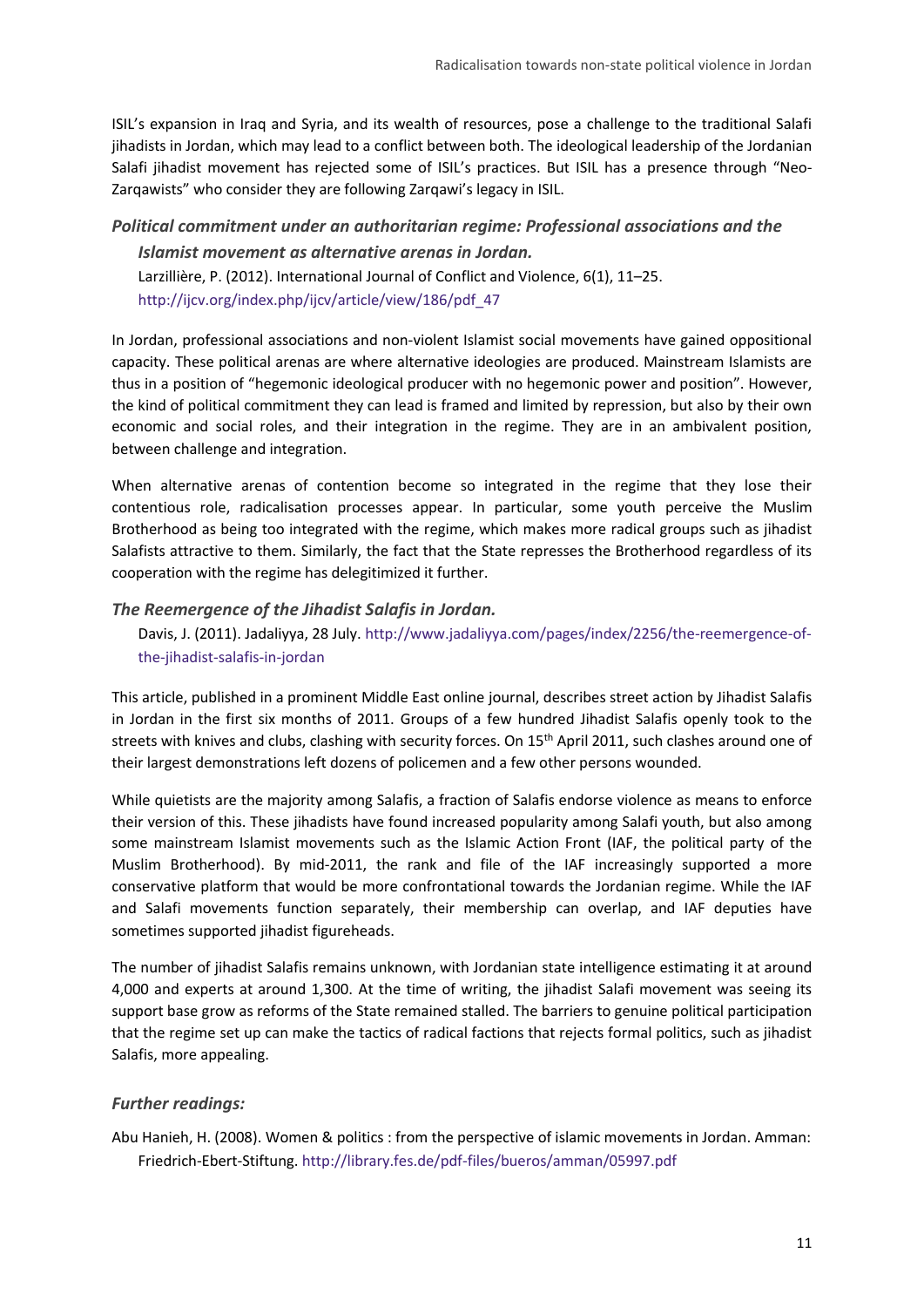ISIL's expansion in Iraq and Syria, and its wealth of resources, pose a challenge to the traditional Salafi jihadists in Jordan, which may lead to a conflict between both. The ideological leadership of the Jordanian Salafi jihadist movement has rejected some of ISIL's practices. But ISIL has a presence through "Neo-Zarqawists" who consider they are following Zarqawi's legacy in ISIL.

#### *Political commitment under an authoritarian regime: Professional associations and the*

*Islamist movement as alternative arenas in Jordan.*  Larzillière, P. (2012). International Journal of Conflict and Violence, 6(1), 11–25. [http://ijcv.org/index.php/ijcv/article/view/186/pdf\\_47](http://ijcv.org/index.php/ijcv/article/view/186/pdf_47)

In Jordan, professional associations and non-violent Islamist social movements have gained oppositional capacity. These political arenas are where alternative ideologies are produced. Mainstream Islamists are thus in a position of "hegemonic ideological producer with no hegemonic power and position". However, the kind of political commitment they can lead is framed and limited by repression, but also by their own economic and social roles, and their integration in the regime. They are in an ambivalent position, between challenge and integration.

When alternative arenas of contention become so integrated in the regime that they lose their contentious role, radicalisation processes appear. In particular, some youth perceive the Muslim Brotherhood as being too integrated with the regime, which makes more radical groups such as jihadist Salafists attractive to them. Similarly, the fact that the State represses the Brotherhood regardless of its cooperation with the regime has delegitimized it further.

#### *The Reemergence of the Jihadist Salafis in Jordan.*

Davis, J. (2011). Jadaliyya, 28 July. [http://www.jadaliyya.com/pages/index/2256/the-reemergence-of](http://www.jadaliyya.com/pages/index/2256/the-reemergence-of-the-jihadist-salafis-in-jordan)[the-jihadist-salafis-in-jordan](http://www.jadaliyya.com/pages/index/2256/the-reemergence-of-the-jihadist-salafis-in-jordan)

This article, published in a prominent Middle East online journal, describes street action by Jihadist Salafis in Jordan in the first six months of 2011. Groups of a few hundred Jihadist Salafis openly took to the streets with knives and clubs, clashing with security forces. On 15<sup>th</sup> April 2011, such clashes around one of their largest demonstrations left dozens of policemen and a few other persons wounded.

While quietists are the majority among Salafis, a fraction of Salafis endorse violence as means to enforce their version of this. These jihadists have found increased popularity among Salafi youth, but also among some mainstream Islamist movements such as the Islamic Action Front (IAF, the political party of the Muslim Brotherhood). By mid-2011, the rank and file of the IAF increasingly supported a more conservative platform that would be more confrontational towards the Jordanian regime. While the IAF and Salafi movements function separately, their membership can overlap, and IAF deputies have sometimes supported jihadist figureheads.

The number of jihadist Salafis remains unknown, with Jordanian state intelligence estimating it at around 4,000 and experts at around 1,300. At the time of writing, the jihadist Salafi movement was seeing its support base grow as reforms of the State remained stalled. The barriers to genuine political participation that the regime set up can make the tactics of radical factions that rejects formal politics, such as jihadist Salafis, more appealing.

#### *Further readings:*

Abu Hanieh, H. (2008). Women & politics : from the perspective of islamic movements in Jordan. Amman: Friedrich-Ebert-Stiftung[. http://library.fes.de/pdf-files/bueros/amman/05997.pdf](http://library.fes.de/pdf-files/bueros/amman/05997.pdf)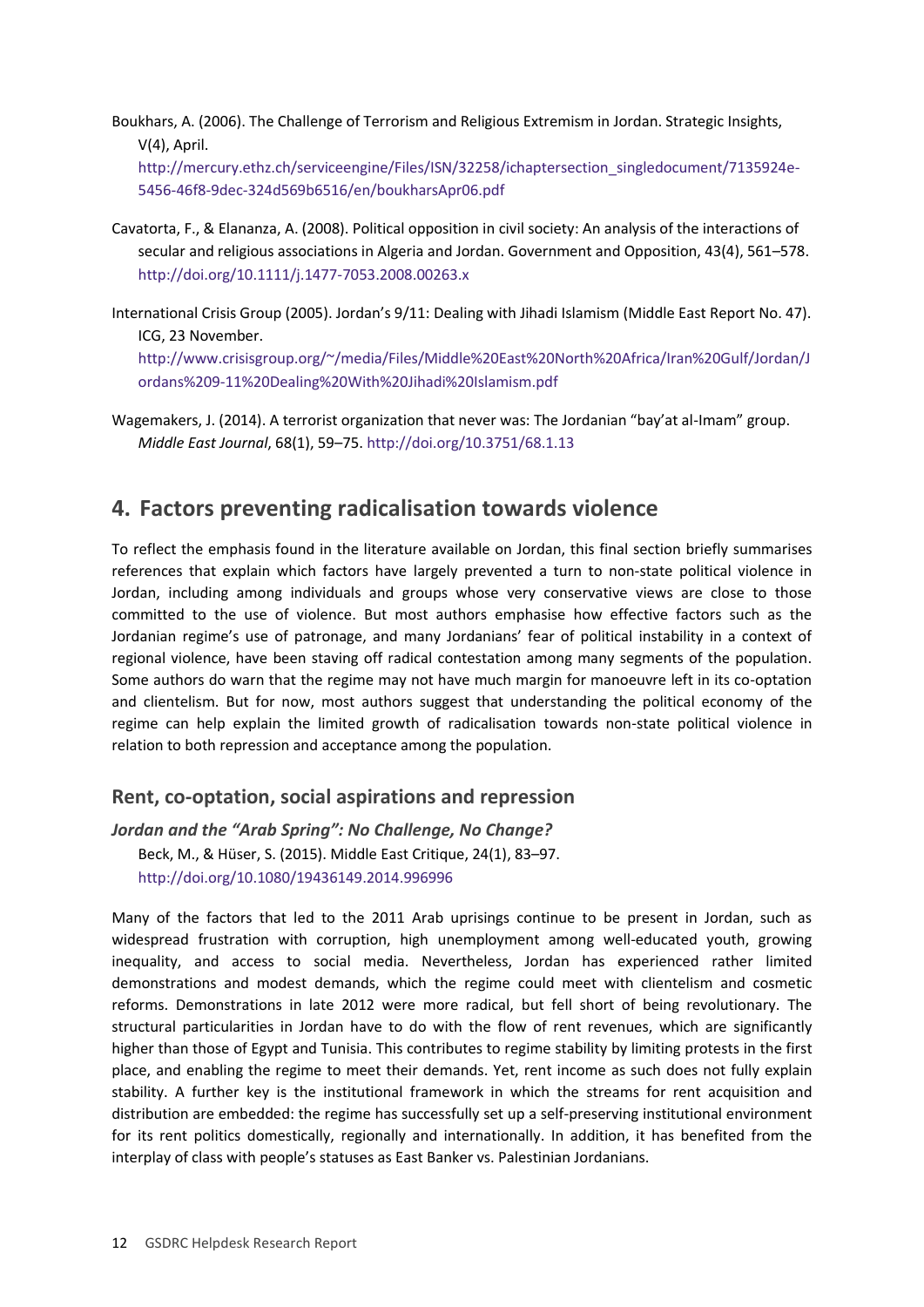Boukhars, A. (2006). The Challenge of Terrorism and Religious Extremism in Jordan. Strategic Insights, V(4), April.

[http://mercury.ethz.ch/serviceengine/Files/ISN/32258/ichaptersection\\_singledocument/7135924e-](http://mercury.ethz.ch/serviceengine/Files/ISN/32258/ichaptersection_singledocument/7135924e-5456-46f8-9dec-324d569b6516/en/boukharsApr06.pdf)[5456-46f8-9dec-324d569b6516/en/boukharsApr06.pdf](http://mercury.ethz.ch/serviceengine/Files/ISN/32258/ichaptersection_singledocument/7135924e-5456-46f8-9dec-324d569b6516/en/boukharsApr06.pdf)

- Cavatorta, F., & Elananza, A. (2008). Political opposition in civil society: An analysis of the interactions of secular and religious associations in Algeria and Jordan. Government and Opposition, 43(4), 561–578. <http://doi.org/10.1111/j.1477-7053.2008.00263.x>
- International Crisis Group (2005). Jordan's 9/11: Dealing with Jihadi Islamism (Middle East Report No. 47). ICG, 23 November.

[http://www.crisisgroup.org/~/media/Files/Middle%20East%20North%20Africa/Iran%20Gulf/Jordan/J](http://www.crisisgroup.org/~/media/Files/Middle%20East%20North%20Africa/Iran%20Gulf/Jordan/Jordans%209-11%20Dealing%20With%20Jihadi%20Islamism.pdf) [ordans%209-11%20Dealing%20With%20Jihadi%20Islamism.pdf](http://www.crisisgroup.org/~/media/Files/Middle%20East%20North%20Africa/Iran%20Gulf/Jordan/Jordans%209-11%20Dealing%20With%20Jihadi%20Islamism.pdf)

Wagemakers, J. (2014). A terrorist organization that never was: The Jordanian "bay'at al-Imam" group. *Middle East Journal*, 68(1), 59–75[. http://doi.org/10.3751/68.1.13](http://doi.org/10.3751/68.1.13)

# <span id="page-11-0"></span>**4. Factors preventing radicalisation towards violence**

To reflect the emphasis found in the literature available on Jordan, this final section briefly summarises references that explain which factors have largely prevented a turn to non-state political violence in Jordan, including among individuals and groups whose very conservative views are close to those committed to the use of violence. But most authors emphasise how effective factors such as the Jordanian regime's use of patronage, and many Jordanians' fear of political instability in a context of regional violence, have been staving off radical contestation among many segments of the population. Some authors do warn that the regime may not have much margin for manoeuvre left in its co-optation and clientelism. But for now, most authors suggest that understanding the political economy of the regime can help explain the limited growth of radicalisation towards non-state political violence in relation to both repression and acceptance among the population.

#### **Rent, co-optation, social aspirations and repression**

*Jordan and the "Arab Spring": No Challenge, No Change?*  Beck, M., & Hüser, S. (2015). Middle East Critique, 24(1), 83–97. <http://doi.org/10.1080/19436149.2014.996996>

Many of the factors that led to the 2011 Arab uprisings continue to be present in Jordan, such as widespread frustration with corruption, high unemployment among well-educated youth, growing inequality, and access to social media. Nevertheless, Jordan has experienced rather limited demonstrations and modest demands, which the regime could meet with clientelism and cosmetic reforms. Demonstrations in late 2012 were more radical, but fell short of being revolutionary. The structural particularities in Jordan have to do with the flow of rent revenues, which are significantly higher than those of Egypt and Tunisia. This contributes to regime stability by limiting protests in the first place, and enabling the regime to meet their demands. Yet, rent income as such does not fully explain stability. A further key is the institutional framework in which the streams for rent acquisition and distribution are embedded: the regime has successfully set up a self-preserving institutional environment for its rent politics domestically, regionally and internationally. In addition, it has benefited from the interplay of class with people's statuses as East Banker vs. Palestinian Jordanians.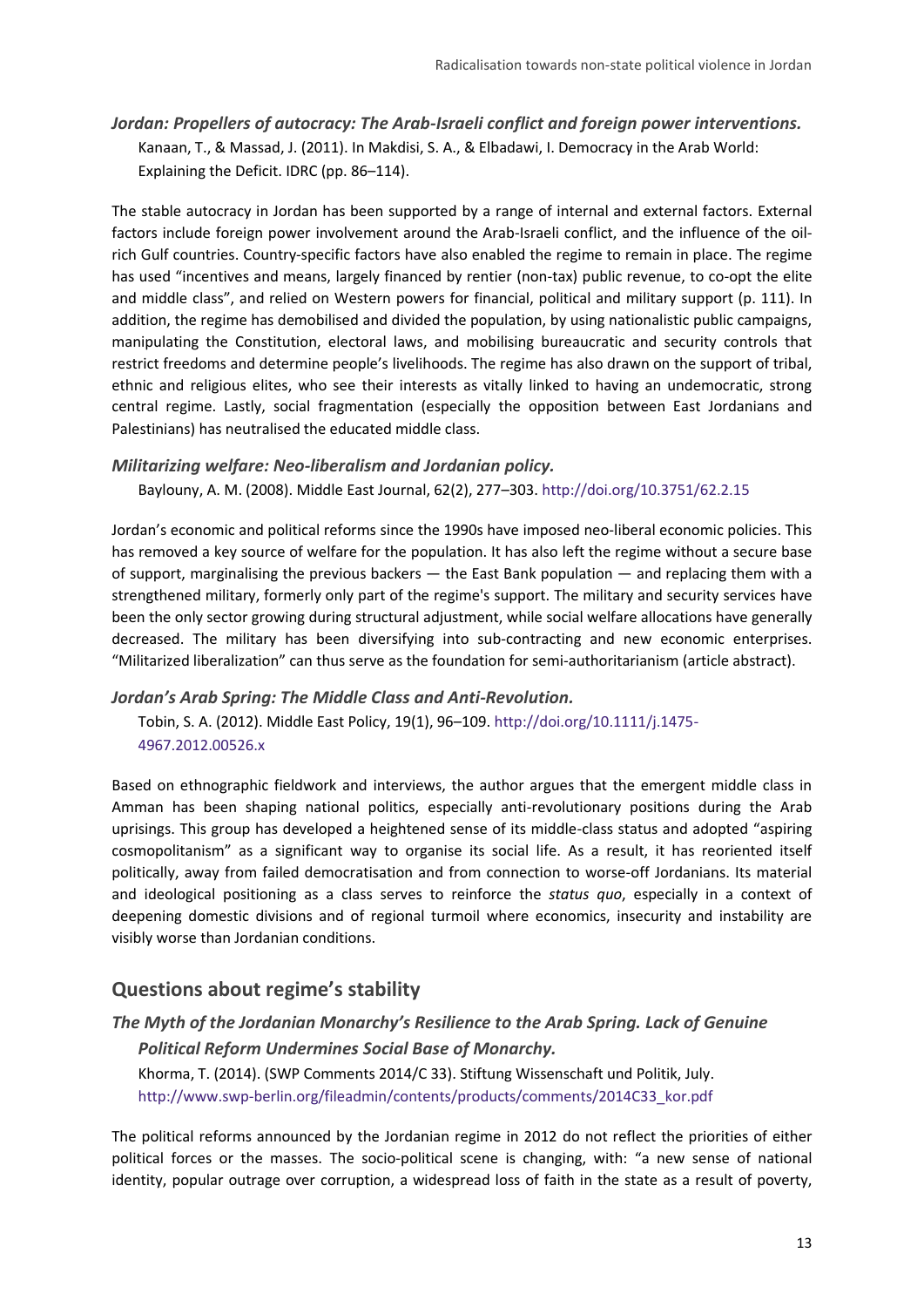### *Jordan: Propellers of autocracy: The Arab-Israeli conflict and foreign power interventions.*  Kanaan, T., & Massad, J. (2011). In Makdisi, S. A., & Elbadawi, I. Democracy in the Arab World: Explaining the Deficit. IDRC (pp. 86–114).

The stable autocracy in Jordan has been supported by a range of internal and external factors. External factors include foreign power involvement around the Arab-Israeli conflict, and the influence of the oilrich Gulf countries. Country-specific factors have also enabled the regime to remain in place. The regime has used "incentives and means, largely financed by rentier (non-tax) public revenue, to co-opt the elite and middle class", and relied on Western powers for financial, political and military support (p. 111). In addition, the regime has demobilised and divided the population, by using nationalistic public campaigns, manipulating the Constitution, electoral laws, and mobilising bureaucratic and security controls that restrict freedoms and determine people's livelihoods. The regime has also drawn on the support of tribal, ethnic and religious elites, who see their interests as vitally linked to having an undemocratic, strong central regime. Lastly, social fragmentation (especially the opposition between East Jordanians and Palestinians) has neutralised the educated middle class.

#### *Militarizing welfare: Neo-liberalism and Jordanian policy.*

Baylouny, A. M. (2008). Middle East Journal, 62(2), 277–303.<http://doi.org/10.3751/62.2.15>

Jordan's economic and political reforms since the 1990s have imposed neo-liberal economic policies. This has removed a key source of welfare for the population. It has also left the regime without a secure base of support, marginalising the previous backers — the East Bank population — and replacing them with a strengthened military, formerly only part of the regime's support. The military and security services have been the only sector growing during structural adjustment, while social welfare allocations have generally decreased. The military has been diversifying into sub-contracting and new economic enterprises. "Militarized liberalization" can thus serve as the foundation for semi-authoritarianism (article abstract).

*Jordan's Arab Spring: The Middle Class and Anti-Revolution.* 

Tobin, S. A. (2012). Middle East Policy, 19(1), 96–109[. http://doi.org/10.1111/j.1475-](http://doi.org/10.1111/j.1475-4967.2012.00526.x) [4967.2012.00526.x](http://doi.org/10.1111/j.1475-4967.2012.00526.x)

Based on ethnographic fieldwork and interviews, the author argues that the emergent middle class in Amman has been shaping national politics, especially anti-revolutionary positions during the Arab uprisings. This group has developed a heightened sense of its middle-class status and adopted "aspiring cosmopolitanism" as a significant way to organise its social life. As a result, it has reoriented itself politically, away from failed democratisation and from connection to worse-off Jordanians. Its material and ideological positioning as a class serves to reinforce the *status quo*, especially in a context of deepening domestic divisions and of regional turmoil where economics, insecurity and instability are visibly worse than Jordanian conditions.

#### **Questions about regime's stability**

```
The Myth of the Jordanian Monarchy's Resilience to the Arab Spring. Lack of Genuine 
Political Reform Undermines Social Base of Monarchy. 
Khorma, T. (2014). (SWP Comments 2014/C 33). Stiftung Wissenschaft und Politik, July. 
http://www.swp-berlin.org/fileadmin/contents/products/comments/2014C33_kor.pdf
```
The political reforms announced by the Jordanian regime in 2012 do not reflect the priorities of either political forces or the masses. The socio-political scene is changing, with: "a new sense of national identity, popular outrage over corruption, a widespread loss of faith in the state as a result of poverty,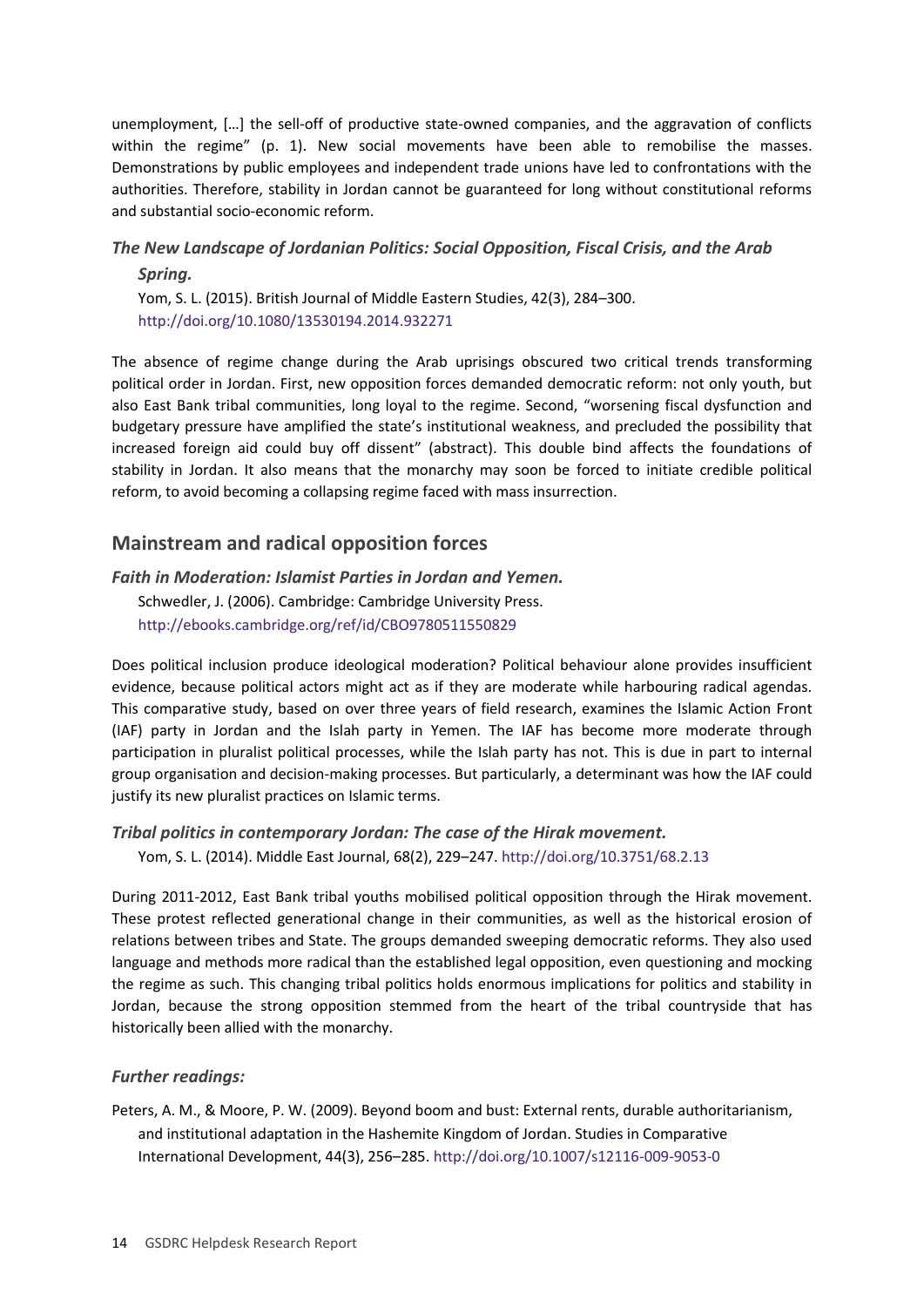unemployment, […] the sell-off of productive state-owned companies, and the aggravation of conflicts within the regime" (p. 1). New social movements have been able to remobilise the masses. Demonstrations by public employees and independent trade unions have led to confrontations with the authorities. Therefore, stability in Jordan cannot be guaranteed for long without constitutional reforms and substantial socio-economic reform.

## *The New Landscape of Jordanian Politics: Social Opposition, Fiscal Crisis, and the Arab Spring.*

Yom, S. L. (2015). British Journal of Middle Eastern Studies, 42(3), 284–300. <http://doi.org/10.1080/13530194.2014.932271>

The absence of regime change during the Arab uprisings obscured two critical trends transforming political order in Jordan. First, new opposition forces demanded democratic reform: not only youth, but also East Bank tribal communities, long loyal to the regime. Second, "worsening fiscal dysfunction and budgetary pressure have amplified the state's institutional weakness, and precluded the possibility that increased foreign aid could buy off dissent" (abstract). This double bind affects the foundations of stability in Jordan. It also means that the monarchy may soon be forced to initiate credible political reform, to avoid becoming a collapsing regime faced with mass insurrection.

## **Mainstream and radical opposition forces**

#### *Faith in Moderation: Islamist Parties in Jordan and Yemen.*

Schwedler, J. (2006). Cambridge: Cambridge University Press. <http://ebooks.cambridge.org/ref/id/CBO9780511550829>

Does political inclusion produce ideological moderation? Political behaviour alone provides insufficient evidence, because political actors might act as if they are moderate while harbouring radical agendas. This comparative study, based on over three years of field research, examines the Islamic Action Front (IAF) party in Jordan and the Islah party in Yemen. The IAF has become more moderate through participation in pluralist political processes, while the Islah party has not. This is due in part to internal group organisation and decision-making processes. But particularly, a determinant was how the IAF could justify its new pluralist practices on Islamic terms.

#### *Tribal politics in contemporary Jordan: The case of the Hirak movement.*

Yom, S. L. (2014). Middle East Journal, 68(2), 229–247[. http://doi.org/10.3751/68.2.13](http://doi.org/10.3751/68.2.13)

During 2011-2012, East Bank tribal youths mobilised political opposition through the Hirak movement. These protest reflected generational change in their communities, as well as the historical erosion of relations between tribes and State. The groups demanded sweeping democratic reforms. They also used language and methods more radical than the established legal opposition, even questioning and mocking the regime as such. This changing tribal politics holds enormous implications for politics and stability in Jordan, because the strong opposition stemmed from the heart of the tribal countryside that has historically been allied with the monarchy.

#### *Further readings:*

Peters, A. M., & Moore, P. W. (2009). Beyond boom and bust: External rents, durable authoritarianism, and institutional adaptation in the Hashemite Kingdom of Jordan. Studies in Comparative International Development, 44(3), 256–285[. http://doi.org/10.1007/s12116-009-9053-0](http://doi.org/10.1007/s12116-009-9053-0)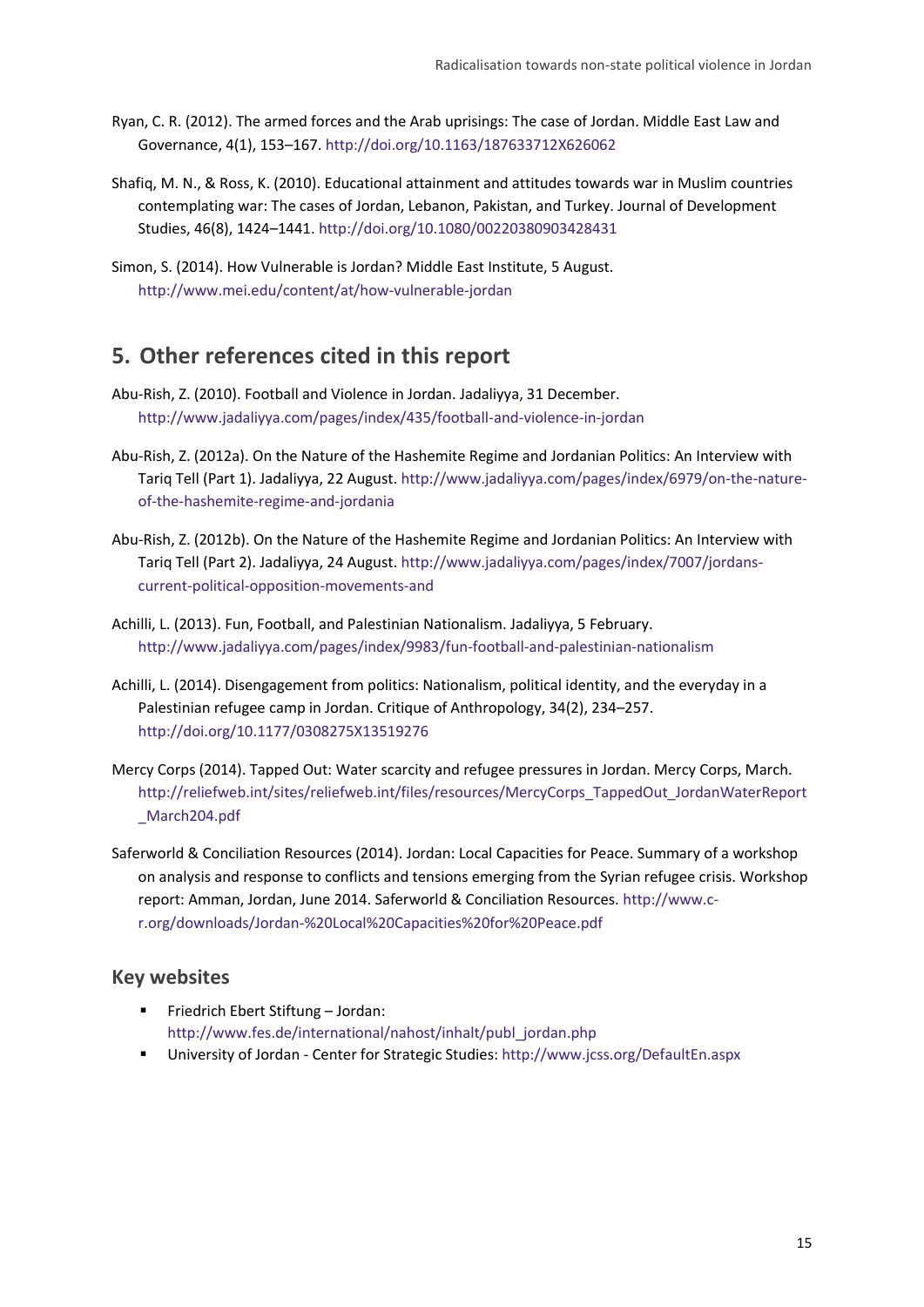- Ryan, C. R. (2012). The armed forces and the Arab uprisings: The case of Jordan. Middle East Law and Governance, 4(1), 153–167[. http://doi.org/10.1163/187633712X626062](http://doi.org/10.1163/187633712X626062)
- Shafiq, M. N., & Ross, K. (2010). Educational attainment and attitudes towards war in Muslim countries contemplating war: The cases of Jordan, Lebanon, Pakistan, and Turkey. Journal of Development Studies, 46(8), 1424–1441[. http://doi.org/10.1080/00220380903428431](http://doi.org/10.1080/00220380903428431)
- Simon, S. (2014). How Vulnerable is Jordan? Middle East Institute, 5 August. <http://www.mei.edu/content/at/how-vulnerable-jordan>

# <span id="page-14-0"></span>**5. Other references cited in this report**

- Abu-Rish, Z. (2010). Football and Violence in Jordan. Jadaliyya, 31 December. <http://www.jadaliyya.com/pages/index/435/football-and-violence-in-jordan>
- Abu-Rish, Z. (2012a). On the Nature of the Hashemite Regime and Jordanian Politics: An Interview with Tariq Tell (Part 1). Jadaliyya, 22 August[. http://www.jadaliyya.com/pages/index/6979/on-the-nature](http://www.jadaliyya.com/pages/index/6979/on-the-nature-of-the-hashemite-regime-and-jordania)[of-the-hashemite-regime-and-jordania](http://www.jadaliyya.com/pages/index/6979/on-the-nature-of-the-hashemite-regime-and-jordania)
- Abu-Rish, Z. (2012b). On the Nature of the Hashemite Regime and Jordanian Politics: An Interview with Tariq Tell (Part 2). Jadaliyya, 24 August[. http://www.jadaliyya.com/pages/index/7007/jordans](http://www.jadaliyya.com/pages/index/7007/jordans-current-political-opposition-movements-and)[current-political-opposition-movements-and](http://www.jadaliyya.com/pages/index/7007/jordans-current-political-opposition-movements-and)
- Achilli, L. (2013). Fun, Football, and Palestinian Nationalism. Jadaliyya, 5 February. <http://www.jadaliyya.com/pages/index/9983/fun-football-and-palestinian-nationalism>
- Achilli, L. (2014). Disengagement from politics: Nationalism, political identity, and the everyday in a Palestinian refugee camp in Jordan. Critique of Anthropology, 34(2), 234–257. <http://doi.org/10.1177/0308275X13519276>
- Mercy Corps (2014). Tapped Out: Water scarcity and refugee pressures in Jordan. Mercy Corps, March. [http://reliefweb.int/sites/reliefweb.int/files/resources/MercyCorps\\_TappedOut\\_JordanWaterReport](http://reliefweb.int/sites/reliefweb.int/files/resources/MercyCorps_TappedOut_JordanWaterReport_March204.pdf) [\\_March204.pdf](http://reliefweb.int/sites/reliefweb.int/files/resources/MercyCorps_TappedOut_JordanWaterReport_March204.pdf)
- Saferworld & Conciliation Resources (2014). Jordan: Local Capacities for Peace. Summary of a workshop on analysis and response to conflicts and tensions emerging from the Syrian refugee crisis. Workshop report: Amman, Jordan, June 2014. Saferworld & Conciliation Resources[. http://www.c](http://www.c-r.org/downloads/Jordan-%20Local%20Capacities%20for%20Peace.pdf)[r.org/downloads/Jordan-%20Local%20Capacities%20for%20Peace.pdf](http://www.c-r.org/downloads/Jordan-%20Local%20Capacities%20for%20Peace.pdf)

#### **Key websites**

- Friedrich Ebert Stiftung Jordan: [http://www.fes.de/international/nahost/inhalt/publ\\_jordan.php](http://www.fes.de/international/nahost/inhalt/publ_jordan.php)
- University of Jordan Center for Strategic Studies[: http://www.jcss.org/DefaultEn.aspx](http://www.jcss.org/DefaultEn.aspx)